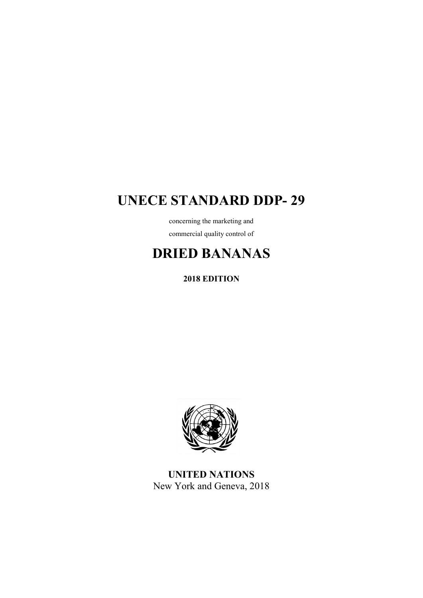## **UNECE STANDARD DDP- 29**

concerning the marketing and commercial quality control of

# **DRIED BANANAS**

**2018 EDITION**



**UNITED NATIONS** New York and Geneva, 2018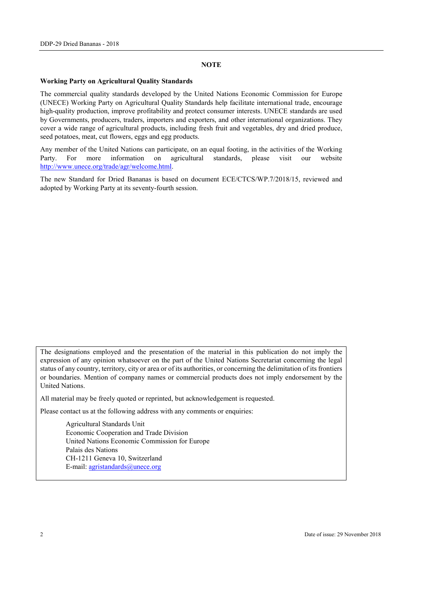#### **NOTE**

#### **Working Party on Agricultural Quality Standards**

The commercial quality standards developed by the United Nations Economic Commission for Europe (UNECE) Working Party on Agricultural Quality Standards help facilitate international trade, encourage high-quality production, improve profitability and protect consumer interests. UNECE standards are used by Governments, producers, traders, importers and exporters, and other international organizations. They cover a wide range of agricultural products, including fresh fruit and vegetables, dry and dried produce, seed potatoes, meat, cut flowers, eggs and egg products.

Any member of the United Nations can participate, on an equal footing, in the activities of the Working Party. For more information on agricultural standards, please visit our website [http://www.unece.org/trade/agr/welcome.html.](http://www.unece.org/trade/agr/welcome.html)

The new Standard for Dried Bananas is based on document ECE/CTCS/WP.7/2018/15, reviewed and adopted by Working Party at its seventy-fourth session.

The designations employed and the presentation of the material in this publication do not imply the expression of any opinion whatsoever on the part of the United Nations Secretariat concerning the legal status of any country, territory, city or area or of its authorities, or concerning the delimitation of its frontiers or boundaries. Mention of company names or commercial products does not imply endorsement by the United Nations.

All material may be freely quoted or reprinted, but acknowledgement is requested.

Please contact us at the following address with any comments or enquiries:

Agricultural Standards Unit Economic Cooperation and Trade Division United Nations Economic Commission for Europe Palais des Nations CH-1211 Geneva 10, Switzerland E-mail: [agristandards@unece.org](mailto:agristandards@unece.org)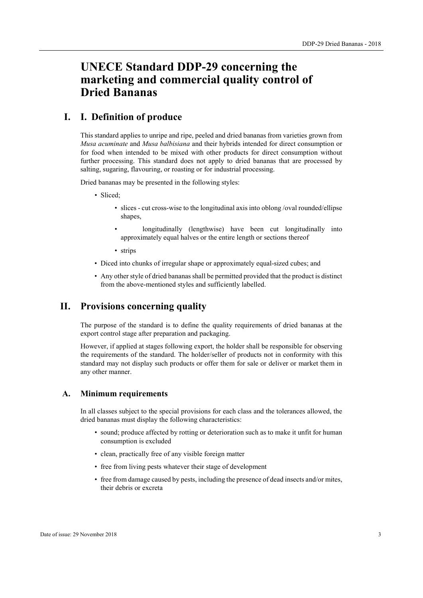## **UNECE Standard DDP-29 concerning the marketing and commercial quality control of Dried Bananas**

## **I. I. Definition of produce**

This standard applies to unripe and ripe, peeled and dried bananas from varieties grown from *Musa acuminate* and *Musa balbisiana* and their hybrids intended for direct consumption or for food when intended to be mixed with other products for direct consumption without further processing. This standard does not apply to dried bananas that are processed by salting, sugaring, flavouring, or roasting or for industrial processing.

Dried bananas may be presented in the following styles:

- Sliced;
	- slices cut cross-wise to the longitudinal axis into oblong /oval rounded/ellipse shapes,
	- longitudinally (lengthwise) have been cut longitudinally into approximately equal halves or the entire length or sections thereof
	- strips
- Diced into chunks of irregular shape or approximately equal-sized cubes; and
- Any other style of dried bananasshall be permitted provided that the product is distinct from the above-mentioned styles and sufficiently labelled.

## **II. Provisions concerning quality**

The purpose of the standard is to define the quality requirements of dried bananas at the export control stage after preparation and packaging.

However, if applied at stages following export, the holder shall be responsible for observing the requirements of the standard. The holder/seller of products not in conformity with this standard may not display such products or offer them for sale or deliver or market them in any other manner.

#### **A. Minimum requirements**

In all classes subject to the special provisions for each class and the tolerances allowed, the dried bananas must display the following characteristics:

- sound; produce affected by rotting or deterioration such as to make it unfit for human consumption is excluded
- clean, practically free of any visible foreign matter
- free from living pests whatever their stage of development
- free from damage caused by pests, including the presence of dead insects and/or mites, their debris or excreta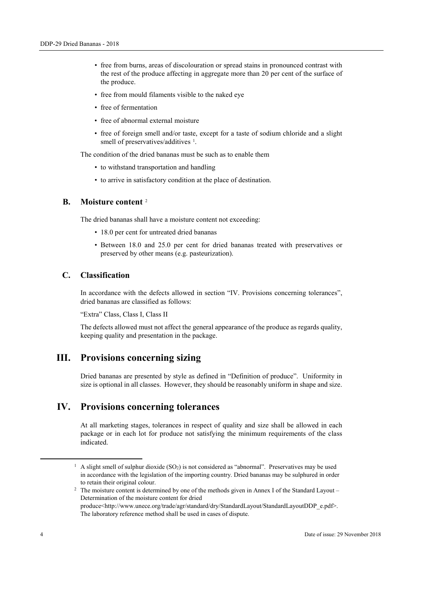- free from burns, areas of discolouration or spread stains in pronounced contrast with the rest of the produce affecting in aggregate more than 20 per cent of the surface of the produce.
- free from mould filaments visible to the naked eye
- free of fermentation
- free of abnormal external moisture
- free of foreign smell and/or taste, except for a taste of sodium chloride and a slight smell of preservatives/additives <sup>[1](#page-3-0)</sup>.

The condition of the dried bananas must be such as to enable them

- to withstand transportation and handling
- to arrive in satisfactory condition at the place of destination.

#### **B. Moisture content** [2](#page-3-1)

The dried bananas shall have a moisture content not exceeding:

- 18.0 per cent for untreated dried bananas
- Between 18.0 and 25.0 per cent for dried bananas treated with preservatives or preserved by other means (e.g. pasteurization).

#### **C. Classification**

In accordance with the defects allowed in section "IV. Provisions concerning tolerances", dried bananas are classified as follows:

"Extra" Class, Class I, Class II

The defects allowed must not affect the general appearance of the produce as regards quality, keeping quality and presentation in the package.

## **III. Provisions concerning sizing**

Dried bananas are presented by style as defined in "Definition of produce". Uniformity in size is optional in all classes. However, they should be reasonably uniform in shape and size.

## **IV. Provisions concerning tolerances**

At all marketing stages, tolerances in respect of quality and size shall be allowed in each package or in each lot for produce not satisfying the minimum requirements of the class indicated.

<span id="page-3-0"></span> $<sup>1</sup>$  A slight smell of sulphur dioxide (SO<sub>2</sub>) is not considered as "abnormal". Preservatives may be used</sup> in accordance with the legislation of the importing country. Dried bananas may be sulphured in order to retain their original colour.<br><sup>2</sup> The moisture content is determined by one of the methods given in Annex I of the Standard Layout –

<span id="page-3-1"></span>Determination of the moisture content for dried

produce<http://www.unece.org/trade/agr/standard/dry/StandardLayout/StandardLayoutDDP\_e.pdf>. The laboratory reference method shall be used in cases of dispute.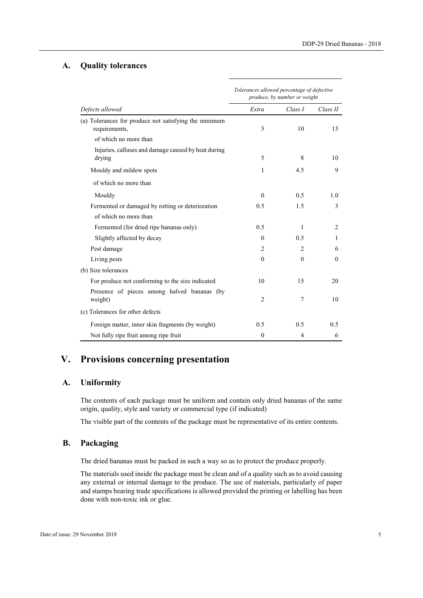#### **A. Quality tolerances**

| Defects allowed                                                        | Tolerances allowed percentage of defective<br>produce, by number or weight |                |                |
|------------------------------------------------------------------------|----------------------------------------------------------------------------|----------------|----------------|
|                                                                        | Extra                                                                      | Class I        | Class II       |
| (a) Tolerances for produce not satisfying the minimum<br>requirements, | 5                                                                          | 10             | 15             |
| of which no more than                                                  |                                                                            |                |                |
| Injuries, calluses and damage caused by heat during<br>drying          | 5                                                                          | 8              | 10             |
| Mouldy and mildew spots                                                | 1                                                                          | 4.5            | 9              |
| of which no more than                                                  |                                                                            |                |                |
| Mouldy                                                                 | $\theta$                                                                   | 0.5            | 1.0            |
| Fermented or damaged by rotting or deterioration                       | 0.5                                                                        | 1.5            | 3              |
| of which no more than                                                  |                                                                            |                |                |
| Fermented (for dried ripe bananas only)                                | 0.5                                                                        | 1              | $\overline{c}$ |
| Slightly affected by decay                                             | $\theta$                                                                   | 0.5            | 1              |
| Pest damage                                                            | $\overline{2}$                                                             | $\overline{2}$ | 6              |
| Living pests                                                           | $\theta$                                                                   | $\theta$       | $\Omega$       |
| (b) Size tolerances                                                    |                                                                            |                |                |
| For produce not conforming to the size indicated                       | 10                                                                         | 15             | 20             |
| Presence of pieces among halved bananas (by<br>weight)                 | $\overline{2}$                                                             | 7              | 10             |
| (c) Tolerances for other defects                                       |                                                                            |                |                |
| Foreign matter, inner skin fragments (by weight)                       | 0.5                                                                        | 0.5            | 0.5            |
| Not fully ripe fruit among ripe fruit                                  | $\mathbf{0}$                                                               | 4              | 6              |

## **V. Provisions concerning presentation**

#### **A. Uniformity**

The contents of each package must be uniform and contain only dried bananas of the same origin, quality, style and variety or commercial type (if indicated)

The visible part of the contents of the package must be representative of its entire contents.

## **B. Packaging**

The dried bananas must be packed in such a way so as to protect the produce properly.

The materials used inside the package must be clean and of a quality such as to avoid causing any external or internal damage to the produce. The use of materials, particularly of paper and stamps bearing trade specifications is allowed provided the printing or labelling has been done with non-toxic ink or glue.